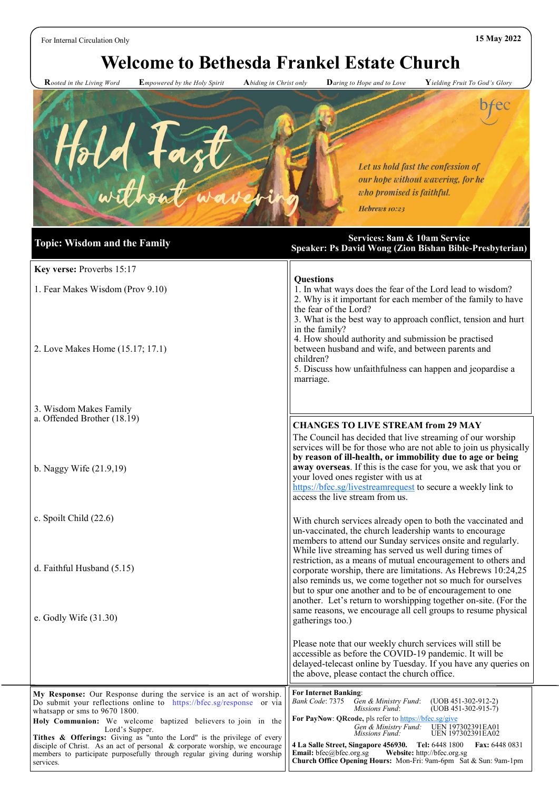For Internal Circulation Only **15 May 2022**

services.

# **Welcome to Bethesda Frankel Estate Church**

 **R***ooted in the Living Word* **E***mpowered by the Holy Spirit* **A***biding in Christ only* **D***aring to Hope and to Love* **Y***ielding Fruit To God's Glory*

**Church Office Opening Hours:** Mon-Fri: 9am-6pm Sat & Sun: 9am-1pm